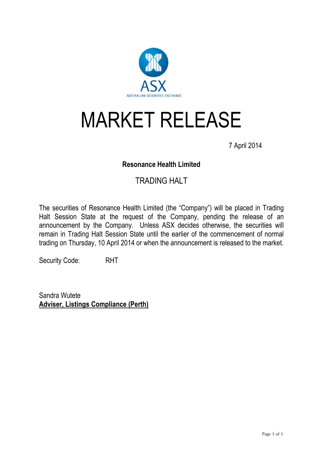

# MARKET RELEASE

7 April 2014

## **Resonance Health Limited**

## TRADING HALT

The securities of Resonance Health Limited (the "Company") will be placed in Trading Halt Session State at the request of the Company, pending the release of an announcement by the Company. Unless ASX decides otherwise, the securities will remain in Trading Halt Session State until the earlier of the commencement of normal trading on Thursday, 10 April 2014 or when the announcement is released to the market.

Security Code: RHT

Sandra Wutete **Adviser, Listings Compliance (Perth)**